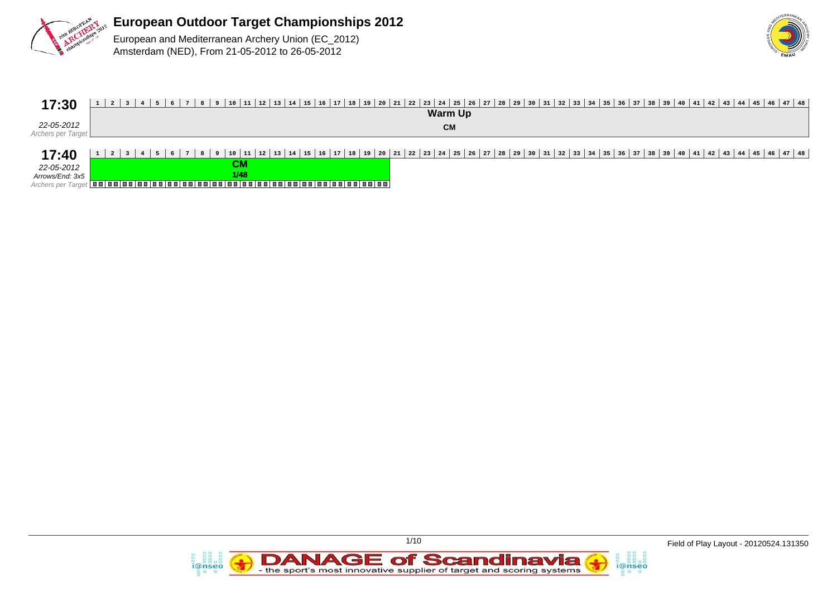



| 17:30                                                        |      | 3   4   5   6   7   8   9   10   11   12   13   14   15   16   17   18   19   20   21   22   23   24   25   26   27   28   29   30   31   32   33   34   35   36   37   38   39   40   41   42   43   44   45   46   47   48<br>Warm Up |
|--------------------------------------------------------------|------|-----------------------------------------------------------------------------------------------------------------------------------------------------------------------------------------------------------------------------------------|
| 22-05-2012<br>Archers per Target                             |      | <b>CM</b>                                                                                                                                                                                                                               |
| 17:40<br>22-05-2012<br>Arrows/End: 3x5<br>Archers per Targe. | 1/48 | 3 4 5 6 7 8 9 10 11 12 13 14 15 16 17 18 19 20 21 22 23 24 25 26 27 28 29 30 31 32 33 34 35 36 37 38 39 40 41 42 43 44 45 46 47 48                                                                                                      |

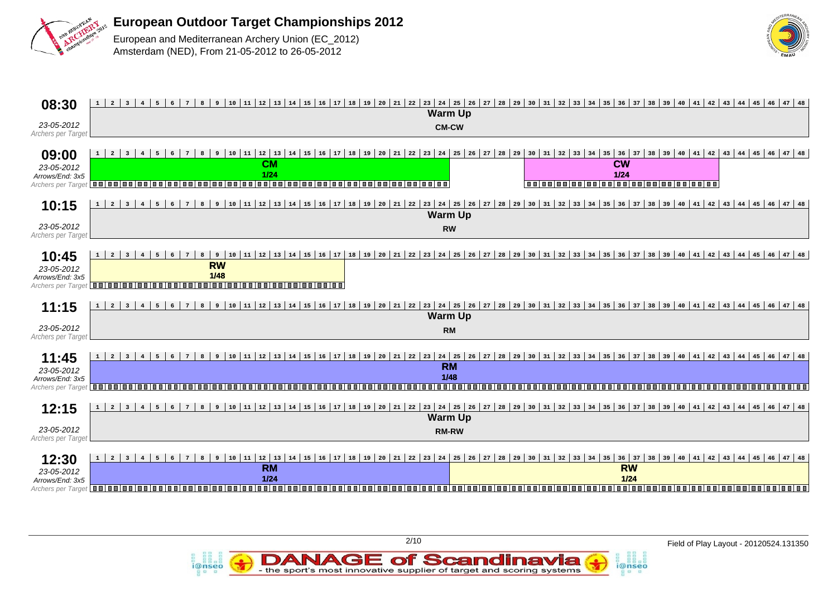



| 08:30                                                        | $1 \mid 2 \mid 3$<br>$10   11   12   13   14   15   16   17   18   19   20   21   22   23   24   25   26   27  $<br>$28$ 29 30 31 32 33 34 35 36 37<br>$\bf{8}$<br>$\overline{9}$<br>38 39 40 41 42 43 44 45 46 47 48<br>$6\overline{6}$<br>$\overline{4}$<br>5<br>$\overline{7}$<br><b>Warm Up</b>                                                                                                                                                                     |
|--------------------------------------------------------------|-------------------------------------------------------------------------------------------------------------------------------------------------------------------------------------------------------------------------------------------------------------------------------------------------------------------------------------------------------------------------------------------------------------------------------------------------------------------------|
| 23-05-2012<br>Archers per Target                             | <b>CM-CW</b>                                                                                                                                                                                                                                                                                                                                                                                                                                                            |
| 09:00<br>23-05-2012<br>Arrows/End: 3x5<br>Archers per Target | 22   23   24   25   26   27   28   29   30   31   32   33   34   35<br>38 39 40 41 42 43 44 45 46 47 48<br>$1 \mid 2 \mid 3$<br>$10   11   12   13   14   15   16   17   18   19   20   21$<br>36<br>37<br>$\overline{9}$<br>5<br><b>CW</b><br><b>CM</b><br>$1/24$<br>$1/24$<br>,,,,,,,,,,,<br>0000000000000000000000000000<br>,,,,,,,,<br>n n I n n<br>in a i a a i a a                                                                                                |
| 10:15                                                        | $11 \mid 12 \mid 13 \mid 14 \mid 15 \mid 16 \mid 17 \mid 18 \mid 19 \mid 20 \mid 21 \mid 22$<br>  24   25   26   27   28   29   30   31   32   33  <br>38 39 40 41 42 43 44 45 46 47 48<br>$1 \mid 2 \mid 3$<br>9<br>10<br>$34 \mid 35 \mid 36$<br>$37$<br>$6\overline{6}$<br>8<br> 23 <br>$\overline{4}$<br>5<br>$7\overline{ }$<br><b>Warm Up</b>                                                                                                                     |
| 23-05-2012<br>Archers per Target                             | <b>RW</b>                                                                                                                                                                                                                                                                                                                                                                                                                                                               |
| 10:45<br>23-05-2012<br>Arrows/End: 3x5<br>Archers per Target | 18 19 20 21 22 23 24 25 26 27 28 29 30 31 32 33 34 35 36 37 38 39 40 41 42 43 44 45 46 47 48<br>$12 \mid 13 \mid 14 \mid 15 \mid 16 \mid$<br>$1 \mid 2$<br>9<br>10<br>11<br>17<br>$\vert$ 3<br>8<br><b>RW</b><br>$1/48$<br>00 00 00 00 00 00 00 00 00<br>1001001001<br>10 O I<br>.<br>.                                                                                                                                                                                 |
| 11:15                                                        | 10 11 2 13 14 15 16 17 18 19 20 21 22 23 24 25 26 27 28 29 30 31 32 33 34 35 36 37 38 39 40 41 42 43 44 45 46 47 48<br>و  <br>$1 \mid 2 \mid 3$<br>$\bf{8}$<br>$6\overline{6}$<br>$\overline{7}$<br>$\overline{4}$<br>5                                                                                                                                                                                                                                                 |
|                                                              | <b>Warm Up</b>                                                                                                                                                                                                                                                                                                                                                                                                                                                          |
| 23-05-2012<br>Archers per Target                             | <b>RM</b>                                                                                                                                                                                                                                                                                                                                                                                                                                                               |
| 11:45<br>23-05-2012<br>Arrows/End: 3x5<br>Archers per Target | 17   18   19   20   21   22   23   24   25   26   27   28   29   30   31   32   33   34   35   36   37   38   39   40   41   42   43   44   45   46   47   48<br>$11 \mid 12 \mid 13 \mid 14 \mid 15$<br> 16 <br>$1 \mid 2 \mid 3$<br>9<br>10<br>8<br>5<br>6<br>$7\overline{ }$<br>$4\overline{ }$<br><b>RM</b><br>1/48<br><b>BELOW</b><br>,<br>,,,,,,,,,,,,,,,,,,,,,,,,,,,,<br>1 - 1 - 1 - 1<br>n n l<br>1 N N<br>1 M M M<br>1 O O I<br>m m<br>1 N N<br>1 M M<br>n n i |
|                                                              |                                                                                                                                                                                                                                                                                                                                                                                                                                                                         |
| 12:15                                                        | 23   24   25   26   27   28   29   30   31   32   33   34   35   36  <br>38 39 40 41 42 43 44 45 46 47 48<br>$10 \mid 11 \mid 12 \mid 13 \mid 14 \mid 15$<br>  16   17   18   19   20   21   22<br>37<br>$\overline{2}$<br>8<br>9<br>$\mathbf{1}$<br>$\overline{\phantom{a}}$<br>6<br>-5<br>7<br><b>Warm Up</b>                                                                                                                                                         |
| 23-05-2012<br>Archers per Target                             | <b>RM-RW</b>                                                                                                                                                                                                                                                                                                                                                                                                                                                            |
| 12:30                                                        | $24$ 25<br>44   45   46   47   48<br>$\overline{2}$<br>10<br>$12 \mid 13$<br>15<br>22<br> 23 <br>27<br>28<br>29<br>36<br>37<br>41<br>42<br>43<br>l 3<br>$\overline{9}$<br>11<br>14<br>16<br>17<br>20<br>21<br>$\begin{array}{c} \boxed{26} \end{array}$<br>30<br>34<br>35<br>38<br>39<br>40<br>8<br>18<br>19<br>31<br>32<br>33                                                                                                                                          |
| 23-05-2012                                                   | <b>RM</b><br><b>RW</b>                                                                                                                                                                                                                                                                                                                                                                                                                                                  |
| Arrows/End: 3x5<br>Archers per Target                        | 1/24<br>$1/24$<br>0000<br>m m i m m<br>,,,,,,,,,,,,,,,,,,,,,,,,,<br>la a la a la a<br>.                                                                                                                                                                                                                                                                                                                                                                                 |

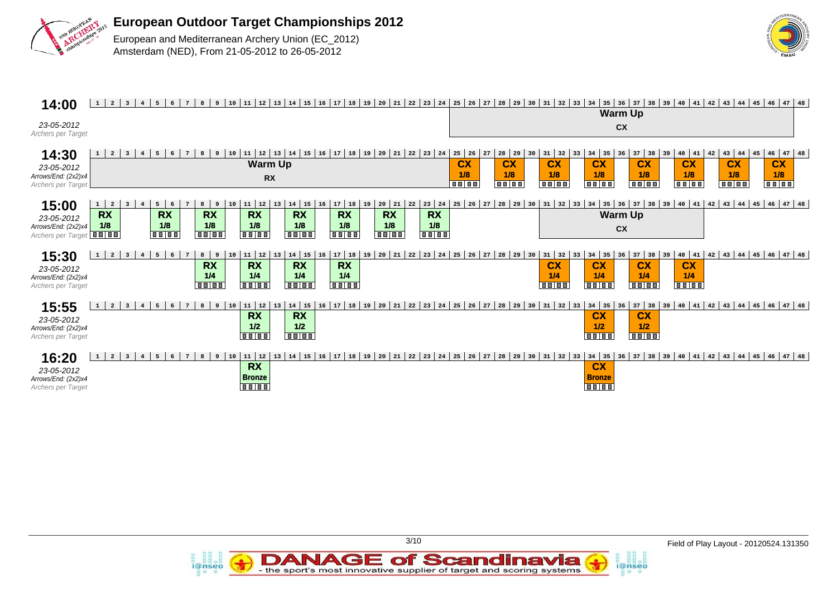



| 14:00                                                                       | 12<br>$\overline{a}$<br>$\vert$ 3<br>11<br>13<br>  17   18   19<br>$ 20\rangle$<br>$21 \mid 22 \mid 23 \mid 24$<br>5 <sup>5</sup><br>10<br>$14 \mid 15$<br>16<br>$\overline{4}$<br>8<br>$1 \vert$<br>6<br>$7\phantom{.0}$<br>9                                                                                                                                                                                                                                                                     | $32 \mid 33$<br> 35 <br>$36 \mid 37 \mid 38 \mid 39 \mid 40 \mid 41 \mid 42 \mid 43 \mid$<br> 48<br>26<br>27<br>$30 \mid 31 \mid$<br>34<br>$44 \mid 45 \mid 46$<br>47<br>25<br>28<br>29                                                                                                                                                                                                                                                                            |
|-----------------------------------------------------------------------------|----------------------------------------------------------------------------------------------------------------------------------------------------------------------------------------------------------------------------------------------------------------------------------------------------------------------------------------------------------------------------------------------------------------------------------------------------------------------------------------------------|--------------------------------------------------------------------------------------------------------------------------------------------------------------------------------------------------------------------------------------------------------------------------------------------------------------------------------------------------------------------------------------------------------------------------------------------------------------------|
| 23-05-2012<br>Archers per Target                                            |                                                                                                                                                                                                                                                                                                                                                                                                                                                                                                    | <b>Warm Up</b><br>cx                                                                                                                                                                                                                                                                                                                                                                                                                                               |
| 14:30<br>23-05-2012<br>Arrows/End: (2x2)x4<br>Archers per Target            | 11   12  <br>$13 \mid 14 \mid 15$<br>  16   17   18   19   20   21   22   23   24<br>$1 \mid 2 \mid 3$<br>5<br>8<br>10<br>$\frac{4}{3}$<br><b>Warm Up</b><br><b>RX</b>                                                                                                                                                                                                                                                                                                                             | $47$ 48<br>$25 \mid 26$<br>43<br>46<br>28<br>$37$ 38<br>42<br>27<br>31<br>32<br>$34$ 35<br>$\begin{array}{c} \end{array}$<br>$40 \mid 41$<br>$44 \mid 45$<br>29<br>36<br>33<br><b>CX</b><br><b>CX</b><br><b>CX</b><br><b>CX</b><br>cx<br><b>CX</b><br><b>CX</b><br><b>CX</b><br>1/8<br>1/8<br>1/8<br>1/8<br>1/8<br>1/8<br>1/8<br>1/8<br><b>BB 88</b><br><b>TO LOO</b><br>$\boxed{00}$ $\boxed{00}$<br>$\boxed{00}$<br><b>Balan</b><br><b>Balas</b><br><b>Bolog</b> |
| 15:00<br>23-05-2012<br>Arrows/End: (2x2)x4<br>Archers per Target <b>III</b> | 12<br>20<br>$17$ 18<br>14<br>15<br>19<br>21<br>23<br> 24<br>5 <sub>5</sub><br>16<br>22<br>$1 \mid 2$<br>8<br>10<br>11<br>13<br>$\overline{\mathbf{3}}$<br><b>RX</b><br><b>RX</b><br><b>RX</b><br><b>RX</b><br><b>RX</b><br><b>RX</b><br><b>RX</b><br><b>RX</b><br>1/8<br>1/8<br>1/8<br>1/8<br>1/8<br>1/8<br>1/8<br>1/8<br><b>BO 88</b><br><b>Bolog</b><br><b>TO DO</b><br>$\overline{\mathbf{u}}$ $\overline{\mathbf{u}}$ $\overline{\mathbf{u}}$ $\overline{\mathbf{u}}$<br><b>Toolog</b><br>0000 | $42 \mid 43$<br>35<br>36<br>$37$ 38<br>39   40   41<br>$44$   $45$   $46$   $47$   $48$<br>28<br>26<br>27<br>32<br>29<br>31<br>33<br>34<br>25<br>30<br><b>Warm Up</b><br>cx                                                                                                                                                                                                                                                                                        |
| 15:30<br>23-05-2012<br>Arrows/End: (2x2)x4<br>Archers per Target            | 5 <sup>1</sup><br>$8 \mid 9$<br>17 18<br>  19<br>202122<br>$11 \mid 12$<br>$14 \mid 15$<br>$\overline{2}$<br> 23 <br>24<br>$\vert$ 3<br>$6^{\circ}$<br>10<br>13<br>16<br>$\overline{4}$<br><b>RX</b><br><b>RX</b><br><b>RX</b><br><b>RX</b><br>1/4<br>1/4<br>1/4<br>1/4<br><b>TO LO</b><br>$\overline{\mathbf{u}\mathbf{u}}$<br><b>To The T</b><br><b>BB188</b>                                                                                                                                    | $42 \mid 43 \mid$<br>$34 \mid 35$<br>$37$ 38<br>$44 \mid 45 \mid 46 \mid$<br>$47$ 48<br>27<br>28<br>$31 \mid 32$<br>36<br>$40 \mid 41$<br>29<br>33<br>$39$<br>25<br>26<br>30<br><b>CX</b><br><b>CX</b><br><b>CX</b><br><b>CX</b><br>1/4<br>1/4<br>1/4<br>1/4<br>$\overline{\bullet\bullet\bullet\bullet\cdots}$<br>n a la a<br><b>THE</b><br><b>To allo</b> a                                                                                                      |
| 15:55<br>23-05-2012<br>Arrows/End: (2x2)x4<br>Archers per Target            | 12<br>  17   18   19   20   21   22   23   24   25<br>$11\,$<br>$14 \mid 15$<br>$\overline{2}$<br>$\vert$ 3<br>10<br>13<br>16 <sup>1</sup><br>8<br><b>1</b><br>$\overline{4}$<br>5<br>9<br><b>RX</b><br><b>RX</b><br>1/2<br>1/2<br><b>BELO</b><br><b>BOTO</b>                                                                                                                                                                                                                                      | 39   40   41   42   43   44   45   46   47   48  <br>$34 \mid 35$<br>$37$ 38<br>26<br>27<br>28<br>32<br>36<br>29<br>$30 \mid 31 \mid$<br>33<br><b>CX</b><br><b>CX</b><br>1/2<br>1/2<br>$\boxed{0.0 \mid 0.0 \mid}$<br><b>TTTT</b>                                                                                                                                                                                                                                  |
| 16:20<br>23-05-2012<br>Arrows/End: (2x2)x4<br>Archers per Target            | 1713<br>  19<br>$11 \mid 12$<br>$14 \mid 15$<br>1 16<br>$ 20\rangle$<br>21<br>22<br> 23 <br>$\vert 24 \vert$<br>$\overline{2}$<br>3 <sup>2</sup><br>8<br>10<br>13<br><b>RX</b><br><b>Bronze</b><br><b>Balas</b>                                                                                                                                                                                                                                                                                    | 28<br>$32 \mid 33$<br>$34 \mid 35$<br>36<br>$37$ 38 39 40 41<br>42<br>  43<br>$47$ 48<br>25<br>26<br>27<br>29<br>30<br> 31 <br>44<br> 45 46<br><b>CX</b><br><b>Bronze</b><br><b>TO LOO</b>                                                                                                                                                                                                                                                                         |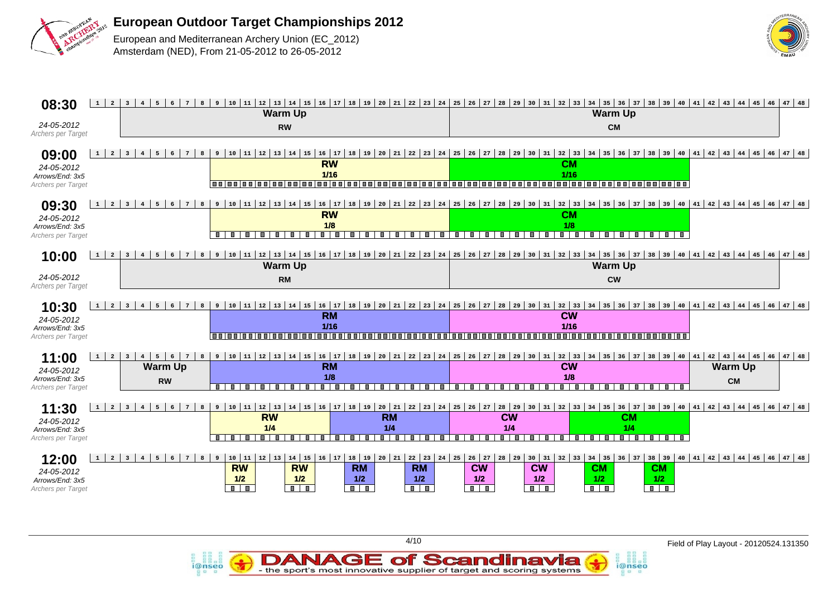

i@nseo



| 08:30                                 | $1 \mid 2 \mid$<br>$7^{\circ}$<br>$6\overline{6}$<br>$3 \mid 4 \mid$<br>5                                                               |                                                                                                                               |                                                                                                        |                                                                                           | 8 9 10 11 2 13 14 15 16 17 18 19 20 21 22 23 24 25 26 27 28 29 30 31 32 33 34 35 36 37 38 39 40 41 42 43 44 45 46 47 48  |                                                                      |
|---------------------------------------|-----------------------------------------------------------------------------------------------------------------------------------------|-------------------------------------------------------------------------------------------------------------------------------|--------------------------------------------------------------------------------------------------------|-------------------------------------------------------------------------------------------|--------------------------------------------------------------------------------------------------------------------------|----------------------------------------------------------------------|
|                                       |                                                                                                                                         | <b>Warm Up</b>                                                                                                                |                                                                                                        |                                                                                           | <b>Warm Up</b>                                                                                                           |                                                                      |
| 24-05-2012                            |                                                                                                                                         | <b>RW</b>                                                                                                                     |                                                                                                        |                                                                                           | <b>CM</b>                                                                                                                |                                                                      |
| Archers per Target                    |                                                                                                                                         |                                                                                                                               |                                                                                                        |                                                                                           |                                                                                                                          |                                                                      |
|                                       |                                                                                                                                         |                                                                                                                               |                                                                                                        |                                                                                           |                                                                                                                          |                                                                      |
| 09:00                                 | $\overline{7}$<br>$1 \vert$<br>$\overline{2}$<br>$6\overline{6}$<br>8<br>$\overline{\mathbf{3}}$<br>$\overline{4}$<br>5                 | 9   10   11  <br>12<br>$13 \mid 14 \mid 15$<br>$16 \mid 17$                                                                   | 18 19 20 21 22 23<br>24                                                                                | 25<br>26<br>27<br>28<br>31<br>29<br>30                                                    | 34<br>35<br>$36 \mid 37 \mid 38 \mid 39 \mid 40$<br>41<br>$32 \mid 33$                                                   | $42 \mid 43 \mid 44 \mid 45 \mid 46 \mid 47 \mid 48$                 |
| 24-05-2012                            |                                                                                                                                         | <b>RW</b>                                                                                                                     |                                                                                                        |                                                                                           | CM                                                                                                                       |                                                                      |
| Arrows/End: 3x5                       |                                                                                                                                         | $1/16$<br>n n i n n i                                                                                                         | $\blacksquare$                                                                                         | j                                                                                         | 1/16<br><u>autorigalacte de la cienta de la</u>                                                                          |                                                                      |
| Archers per Target                    |                                                                                                                                         |                                                                                                                               |                                                                                                        |                                                                                           |                                                                                                                          |                                                                      |
|                                       | $6^{\circ}$<br>$7^{\circ}$<br>1<br>2 <sup>1</sup><br>$\overline{3}$<br>5 <sup>1</sup><br>8                                              | 9   10   11   12   13   14   15   16   17   18   19   20   21   22   23   24                                                  |                                                                                                        | $25 \t26 \t27$<br>$30 \mid 31 \mid 32 \mid 33 \mid 34 \mid$                               | 35   36   37   38   39   40   41   42   43   44   45   46   47   48                                                      |                                                                      |
| 09:30                                 |                                                                                                                                         | <b>RW</b>                                                                                                                     |                                                                                                        |                                                                                           | <b>CM</b>                                                                                                                |                                                                      |
| 24-05-2012                            |                                                                                                                                         | 1/8                                                                                                                           |                                                                                                        |                                                                                           | 1/8                                                                                                                      |                                                                      |
| Arrows/End: 3x5<br>Archers per Target |                                                                                                                                         | <b>III</b><br>mп<br><b>The State</b><br>$\blacksquare$<br><b>III</b><br>$\blacksquare$<br>$\blacksquare$<br><b>TELEVISION</b> | $\blacksquare$<br><b>Figure</b><br>$\blacksquare$<br>$\blacksquare$<br>$\blacksquare$<br>т<br><b>I</b> | $\blacksquare$<br>$\blacksquare$<br>$\hat{r}$<br>пI<br>$\blacksquare$<br><b>III</b><br>m. | $\blacksquare$<br><b>Form</b><br>$\blacksquare$<br>.                                                                     |                                                                      |
|                                       |                                                                                                                                         |                                                                                                                               |                                                                                                        |                                                                                           |                                                                                                                          |                                                                      |
| 10:00                                 | $\overline{2}$<br>$7^{\circ}$<br>1 <sup>1</sup><br>3 <sup>1</sup><br>5<br>$6\overline{6}$<br>$\overline{4}$                             |                                                                                                                               |                                                                                                        |                                                                                           | 8 9 10 11 12 13 14 15 16 17 18 19 20 21 22 23 24 25 26 27 28 29 30 31 32 33 34 35 36 37 38 39 40 41 42 43 44 45 46 47 48 |                                                                      |
|                                       |                                                                                                                                         | <b>Warm Up</b>                                                                                                                |                                                                                                        |                                                                                           | <b>Warm Up</b>                                                                                                           |                                                                      |
| 24-05-2012                            |                                                                                                                                         | <b>RM</b>                                                                                                                     |                                                                                                        |                                                                                           | <b>CW</b>                                                                                                                |                                                                      |
| Archers per Target                    |                                                                                                                                         |                                                                                                                               |                                                                                                        |                                                                                           |                                                                                                                          |                                                                      |
|                                       |                                                                                                                                         |                                                                                                                               |                                                                                                        |                                                                                           |                                                                                                                          |                                                                      |
| 10:30                                 | $\overline{2}$<br>$\overline{\mathbf{3}}$<br>$\overline{7}$<br>6<br>8                                                                   | 11   12   13   14   15   16   17<br>10<br>9                                                                                   | 18   19   20   21   22   23   24                                                                       | 25                                                                                        | 26   27   28   29   30   31   32   33   34   35   36   37   38   39   40<br>41                                           | $42$ 43 44 45 46 47 48                                               |
| 24-05-2012                            |                                                                                                                                         | <b>RM</b>                                                                                                                     |                                                                                                        |                                                                                           | <b>CW</b>                                                                                                                |                                                                      |
| Arrows/End: 3x5                       |                                                                                                                                         | $1/16$                                                                                                                        |                                                                                                        |                                                                                           | $1/16$                                                                                                                   |                                                                      |
| Archers per Target                    |                                                                                                                                         |                                                                                                                               |                                                                                                        | --------------                                                                            | ,,,,,,,,,,,,,,,,,,,,,,                                                                                                   |                                                                      |
|                                       |                                                                                                                                         |                                                                                                                               |                                                                                                        |                                                                                           |                                                                                                                          |                                                                      |
| 11:00                                 | $1 \vert$<br>$\overline{2}$<br>8<br>$7\overline{ }$<br>3 <sup>1</sup><br>$4\overline{ }$<br>5<br>$\begin{array}{c} \bullet \end{array}$ | 9   10   11   12   13   14   15   16   17                                                                                     | 18   19   20   21   22   23   24                                                                       | $25 \mid 26 \mid 27$<br>  28   29   30   31   32   33                                     | $34$ 35 36 37 38 39 40<br> 41                                                                                            | $42 \mid 43 \mid 44 \mid 45 \mid 46 \mid 47 \mid 48$                 |
| 24-05-2012                            | <b>Warm Up</b>                                                                                                                          | <b>RM</b>                                                                                                                     |                                                                                                        |                                                                                           | <b>CW</b>                                                                                                                | <b>Warm Up</b>                                                       |
| Arrows/End: 3x5                       | <b>RW</b>                                                                                                                               | 1/8<br>$\overline{\phantom{a}}$<br>$\blacksquare$<br>п<br>π<br>П<br>$\blacksquare$<br>m.                                      | П<br>п<br>т<br>П<br>m.                                                                                 | т<br>$\hat{\mathbb{F}}$<br>$\blacksquare$<br>$\blacksquare$<br>$\blacksquare$<br>m.<br>ш  | 1/8<br>$\overline{\phantom{a}}$<br>т<br>П<br>т<br>.                                                                      | <b>CM</b>                                                            |
| Archers per Target                    |                                                                                                                                         |                                                                                                                               |                                                                                                        |                                                                                           |                                                                                                                          |                                                                      |
|                                       | $7\overline{ }$<br>1<br>$\overline{2}$<br>$\overline{\mathbf{3}}$<br>$\overline{4}$<br>5<br>$6\overline{6}$<br>8                        | 9   10   11<br>$12 \mid 13$                                                                                                   | 14   15   16   17   18   19   20   21   22   23   24                                                   | $25$ 26 27 28 29<br>  30   31   32   33   34                                              | $36   37   38   39   40   41   42   43   44   45   46   47   48$<br>35                                                   |                                                                      |
| 11:30                                 |                                                                                                                                         | <b>RW</b>                                                                                                                     | <b>RM</b>                                                                                              | <b>CW</b>                                                                                 | <b>CM</b>                                                                                                                |                                                                      |
| 24-05-2012                            |                                                                                                                                         | 1/4                                                                                                                           | 1/4                                                                                                    | 1/4                                                                                       | 1/4                                                                                                                      |                                                                      |
| Arrows/End: 3x5<br>Archers per Target |                                                                                                                                         | $\blacksquare$<br>пI<br>$\blacksquare$<br>$\blacksquare$<br>$\Box$                                                            | <b>BIB</b><br>$\blacksquare$<br>$\blacksquare$<br><b>The State</b><br>m l<br>Ш.<br><b>The State</b>    | $\blacksquare$<br>l m<br>т<br><b>.</b><br>m I<br>$\blacksquare$                           | <b>.</b> .<br>n an<br>$\blacksquare$                                                                                     |                                                                      |
|                                       |                                                                                                                                         |                                                                                                                               |                                                                                                        |                                                                                           |                                                                                                                          |                                                                      |
| 12:00                                 | $7\overline{ }$<br>$\overline{2}$<br>$\overline{3}$<br>6<br>8<br>5                                                                      | $14$ 15 16 17<br>$10 \mid 11$<br>$12 \mid 13$<br>$\overline{9}$                                                               | $20 \mid 21 \mid$<br>$22 \mid 23$<br>$18$ 19                                                           | $24$ 25<br>$26$ 27<br>$28 \mid 29$                                                        | $38 \mid 39$<br>$30 \mid 31 \mid 32 \mid 33 \mid 34 \mid 35$<br>$36 \mid 37$                                             | $40 \mid 41 \mid 42 \mid 43 \mid 44 \mid 45 \mid 46 \mid 47 \mid 48$ |
| 24-05-2012                            |                                                                                                                                         | <b>RW</b><br><b>RW</b>                                                                                                        | <b>RM</b><br><b>RM</b>                                                                                 | <b>CW</b><br><b>CW</b>                                                                    | <b>CM</b><br><b>CM</b>                                                                                                   |                                                                      |
| Arrows/End: 3x5                       |                                                                                                                                         |                                                                                                                               |                                                                                                        |                                                                                           |                                                                                                                          |                                                                      |
|                                       |                                                                                                                                         | 1/2<br>1/2                                                                                                                    | 1/2<br>1/2                                                                                             | 1/2<br>1/2                                                                                | 1/2<br>1/2                                                                                                               |                                                                      |

**DANAGE of Scandinavia**<br>- the sport's most innovative supplier of target and scoring systems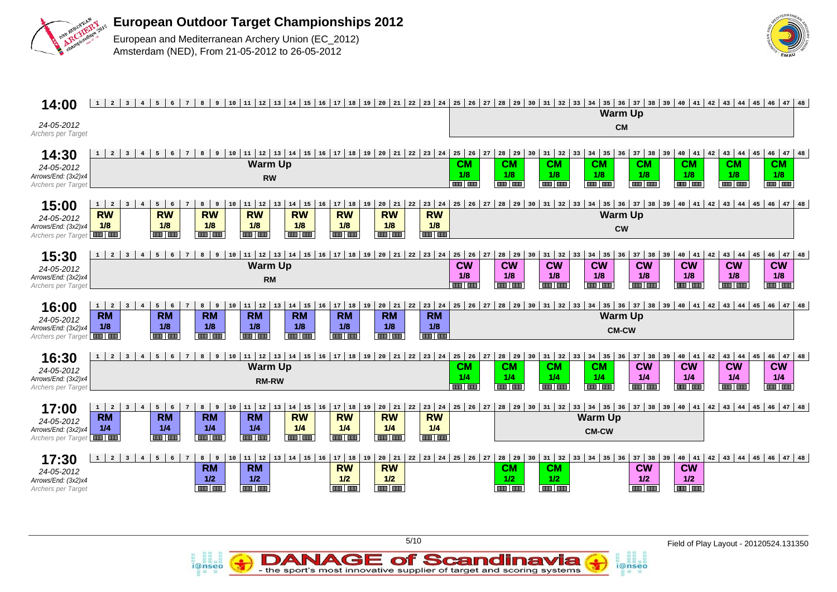



i@nseo

| 14:00                                                            | $1 \mid 2 \mid$<br>$\overline{\mathbf{3}}$<br>4<br>$5^{\circ}$<br>$6\overline{6}$<br>$7\overline{ }$<br>8 <sup>1</sup>                                                                                                                                                                                                                                                                                                                                                                                                                   | 9 10 12 14 20 42 44 45 44 45 45 30 31 32 33 44 5 37 38 4 5 40 41 42 43 44 5 46 47 48 5 47 48 47 48 47 48 وا 18 أ 14 أ 15 أ 15 أ 10 أ 11 أ 12 أ 12 أ 12 أ 12 أ 12 أ 14 أ 15 أ 14 أ 15 أ 16 أ 17 أ 18 أ 19 أ 19 أ 19 أ 19 أ 19 أ<br><b>Warm Up</b>                                                                                                                                                                                        |
|------------------------------------------------------------------|------------------------------------------------------------------------------------------------------------------------------------------------------------------------------------------------------------------------------------------------------------------------------------------------------------------------------------------------------------------------------------------------------------------------------------------------------------------------------------------------------------------------------------------|-----------------------------------------------------------------------------------------------------------------------------------------------------------------------------------------------------------------------------------------------------------------------------------------------------------------------------------------------------------------------------------------------------------------------------------------|
| 24-05-2012<br>Archers per Target                                 |                                                                                                                                                                                                                                                                                                                                                                                                                                                                                                                                          | <b>CM</b>                                                                                                                                                                                                                                                                                                                                                                                                                               |
| 14:30<br>24-05-2012<br>Arrows/End: (3x2)x4<br>Archers per Target | 8   9   10   11   12   13   14   15   16   17   18   19   20   21   22   23   24   25   26<br>$\overline{2}$<br>$7\overline{ }$<br>$\overline{\mathbf{3}}$<br>4<br>5<br>6<br><b>Warm Up</b><br><b>CM</b><br>1/8<br><b>RW</b><br><b>THE THE</b>                                                                                                                                                                                                                                                                                           | $46 \mid 47 \mid 48$<br>$28$ 29 30 31 32<br>$34 \mid 35 \mid 36$<br>$37$ 38 39 40 41<br>$42 \mid 43 \mid 44 \mid 45$<br>27<br>33<br><b>CM</b><br><b>CM</b><br><b>CM</b><br><b>CM</b><br><b>CM</b><br>CM<br><b>CM</b><br>1/8<br>1/8<br>1/8<br>1/8<br>1/8<br>1/8<br>1/8<br><b>THE REA</b><br><b>COLLEGE</b><br><b>AND AND</b><br><b>THE LEAD</b><br><b>THE CHE</b><br><b>AND LON</b><br><b>THE REA</b>                                    |
| 15:00<br>24-05-2012<br>Arrows/End: (3x2)x4<br>Archers per Target | $14 \mid 15$<br>$20 \mid 21 \mid$<br>$1 \mid 2$<br>$11$ 12<br>$17$ 18<br>  19<br>$23 \mid 24$<br>25<br>5<br>10<br>13<br>16<br>22<br>$\overline{\mathbf{3}}$<br>6<br>8<br>9<br><b>RW</b><br><b>RW</b><br><b>RW</b><br><b>RW</b><br><b>RW</b><br><b>RW</b><br><b>RW</b><br><b>RW</b><br>1/8<br>1/8<br>1/8<br>1/8<br>1/8<br>1/8<br>1/8<br>1/8<br><b>AND THE</b><br><b>THE THE</b><br><b>THE REA</b><br>an an<br><b>BOOT BOOT</b><br>an Tan<br>an lan<br>an Lan                                                                              | $28$ 29 30 31 32 33 34<br>  35   36   37   38   39   40   41   42   43   44   45  <br>$ 26\rangle$<br> 46 <br>$47$ 48<br>27<br><b>Warm Up</b><br><b>CW</b>                                                                                                                                                                                                                                                                              |
| 15:30<br>24-05-2012<br>Arrows/End: (3x2)x4<br>Archers per Target | 11   12   13   14   15   16   17   18   19   20   21   22   23   24  <br>$9 \mid 10$<br>$25 \mid 26$<br>$\overline{2}$<br>$5^{\circ}$<br>$6\overline{6}$<br>$\overline{7}$<br>8 <sup>1</sup><br>$1 \vert$<br>$\overline{\mathbf{3}}$<br>$\overline{4}$<br><b>Warm Up</b><br><b>CW</b><br>1/8<br><b>RM</b><br><b>BRITAIN</b>                                                                                                                                                                                                              | 46<br>$28 \mid 29$<br>$34 \mid 35 \mid 36$<br>$40 \mid 41$<br>43 44 45<br>$47$ 48<br>27<br>$31 \overline{\smash{\big)}\ 32}$<br>33<br>$37$ 38 39<br>42<br>30<br><b>CW</b><br><b>CW</b><br><b>CW</b><br><b>CW</b><br><b>CW</b><br><b>CW</b><br><b>CW</b><br>1/8<br>1/8<br>1/8<br>1/8<br>1/8<br>1/8<br>1/8<br><b>THE LINE</b><br><b>THE THE</b><br><b>THE REA</b><br><b>THE REA</b><br><b>THE BIR</b><br><b>THE THE</b><br><b>THE THE</b> |
| 16:00<br>24-05-2012<br>Arrows/End: (3x2)x4<br>Archers per Target | 11   12   13   14   15   16   17   18   19<br>$20 \mid 21 \mid 22 \mid 23 \mid 24 \mid$<br>$1 \vert$<br>$5 \mid 6$<br>8 <sup>1</sup><br>$^{\circ}$ 9<br>10<br>$\overline{2}$<br>$\overline{\mathbf{3}}$<br>$7\overline{ }$<br>4<br><b>RM</b><br><b>RM</b><br><b>RM</b><br><b>RM</b><br><b>RM</b><br><b>RM</b><br><b>RM</b><br><b>RM</b><br>1/8<br>1/8<br>1/8<br>1/8<br>1/8<br>1/8<br>1/8<br>1/8<br><b>THE LINE</b><br><b>THE REA</b><br><b>THE LINE</b><br>an Tan<br>an lan<br><b>THE THE</b><br>an an<br>an Tar                         | 25 26 27 28 29 30 31 32 33 34 35 36 37 38 39 40 41 42 43 44 45 46<br>$147$ 48<br><b>Warm Up</b><br><b>CM-CW</b>                                                                                                                                                                                                                                                                                                                         |
| 16:30<br>24-05-2012<br>Arrows/End: (3x2)x4<br>Archers per Target | 9   10   11   12   13   14   15   16   17   18   19   20   21   22   23   24   25   26<br>5<br>6<br>$7\overline{ }$<br>8<br>$\overline{2}$<br>$\overline{\mathbf{3}}$<br>$\overline{4}$<br><b>Warm Up</b><br><b>CM</b><br>1/4<br><b>RM-RW</b><br><b>THE LIBRARY</b>                                                                                                                                                                                                                                                                      | $34 \mid 35 \mid 36$<br>$46 \mid 47 \mid 48$<br>27<br>28   29   30<br>$31 \mid 32$<br>$37$ 38<br> 40 41<br>$43 \mid 44 \mid 45$<br>33<br>39<br>42<br><b>CW</b><br><b>CW</b><br><b>CM</b><br><b>CM</b><br><b>CW</b><br><b>CW</b><br><b>CM</b><br>1/4<br>1/4<br>1/4<br>1/4<br>1/4<br>1/4<br>1/4<br><u>an lan</u><br><b>THE LEAD</b><br><b>THE LINE</b><br><b>THE LIGHT</b><br><b>BOOT DIED</b><br><b>THE LINE</b><br><b>BELLER</b>        |
| 17:00<br>24-05-2012<br>Arrows/End: (3x2)x4<br>Archers per Target | 11   12<br>$14$ 15<br>$20 \mid 21 \mid$<br>$23 \mid 24 \mid$<br>$1 \mid 2$<br>$\overline{\mathbf{3}}$<br>$5 \mid 6$<br>8 <sup>1</sup><br>9<br>10<br>17   18   19<br>$\overline{4}$<br>$7\overline{ }$<br>13<br>16<br>22<br><b>RM</b><br>$R$ M<br><b>RM</b><br><b>RM</b><br><b>RW</b><br><b>RW</b><br><b>RW</b><br><b>RW</b><br>1/4<br>1/4<br>1/4<br>1/4<br>1/4<br>1/4<br>1/4<br>1/4<br><b>THE LEAD</b><br><b>THE REAL</b><br><b>THE RID</b><br><b>BELLENE</b><br><b>BOOT THE</b><br><b>THE REAL</b><br><b>THE RIN</b><br><b>THE LINE</b> | $25 \mid 26 \mid 27$<br>28   29   30   31  <br>  35   36   37   38   39   40   41<br>$42$ $ 43$ $ 44$ $ 45$ $ 46$ $ 47$ $ 48$<br>$32 \mid 33 \mid 34 \mid$<br><b>Warm Up</b><br><b>CM-CW</b>                                                                                                                                                                                                                                            |
| 17:30<br>24-05-2012<br>Arrows/End: (3x2)x4<br>Archers per Target | $8 \mid 9$<br>  11   12<br>13   14   15   16<br>$17$ 18 19<br>$20 \mid 21 \mid$<br>$5 \mid 6$<br>$7\overline{ }$<br>10<br>$\overline{2}$<br>$1 \mid$<br>$\overline{\mathbf{3}}$<br>$\overline{4}$<br><b>RM</b><br><b>RM</b><br><b>RW</b><br><b>RW</b><br>1/2<br>1/2<br>1/2<br>1/2<br>an I an<br>and <b>and</b><br><b>THE LINE</b><br><b>THE REAL</b>                                                                                                                                                                                     | $22 \mid 23 \mid 24 \mid 25 \mid 26 \mid 27 \mid 28 \mid 29 \mid$<br>$31 \mid 32$<br>$33 \mid 34 \mid 35 \mid 36$<br>$37$ 38<br>39   40   41<br>$42 \mid 43 \mid 44 \mid 45 \mid 46 \mid 47 \mid 48$<br>30 <sup>1</sup><br><b>CW</b><br><b>CM</b><br><b>CW</b><br><b>CM</b><br>1/2<br>1/2<br>1/2<br>1/2<br><b>THE LINE</b><br><b>THE REAL</b><br><b>THE LEAD</b><br>an Lua                                                              |

**DANAGE of Scandinavia**<br>- the sport's most innovative supplier of target and scoring systems

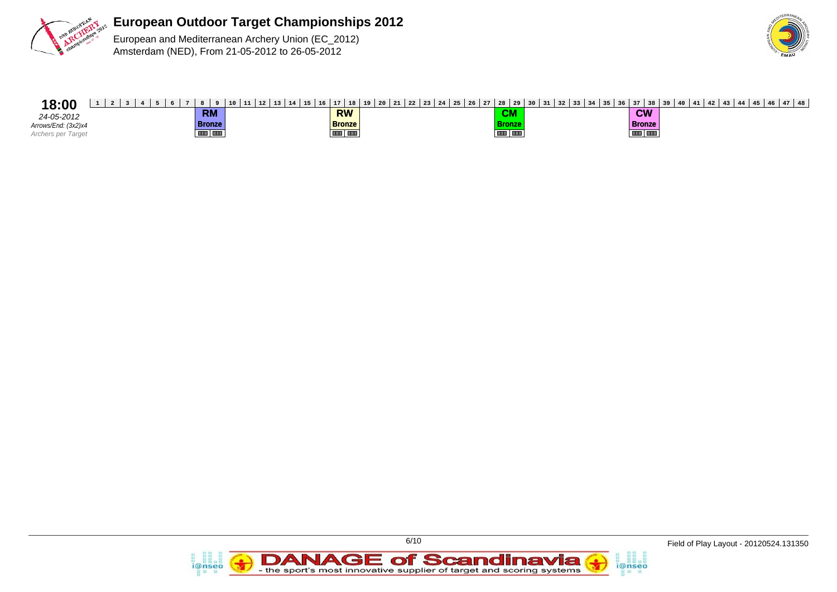



## **18:00** 1 2 3 4 5 6 7 8 9 10 11 12 13 14 15 16 17 18 19 20 21 22 23 24 25 26 27 28 29 30 31 32 33 34 35 36 37 38 39 40 41 42 43 44 45 46 47 48

24-05-2012 Arrows/End: (3x2)x4 Archers per Target

**RM Bronze** 

**RW Bronze**

**CM Bronze**

**CW Bronze**

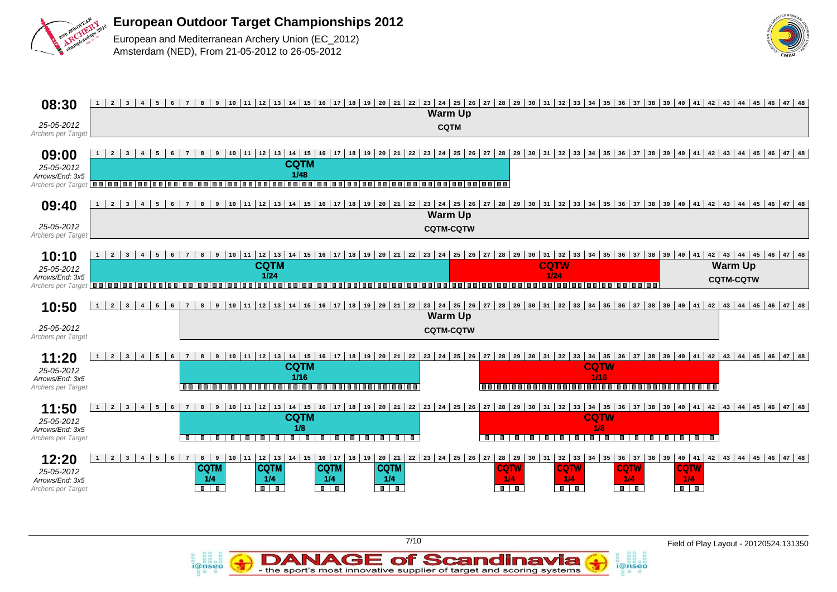

i@nseo



| 08:30                                                                      | 1<br>$\overline{2}$<br>4<br>3 <sup>1</sup><br>5 <sup>1</sup><br>$6\overline{6}$                             | 8 <sup>1</sup><br>$7^{\circ}$                                                 |                                                                                                                                     |                                                                                         |                                                           | <b>Warm Up</b>                     |                                                      |                                                                                                          |                                                                                                                     |                                                             | 9 10 12 13 14 15 14 15 16 17 18 19 20 21 22 23 24 25 26 27 28 29 30 31 32 33 34 35 36 37 38 39 40 41 42 43 44 45 46 47 48 |
|----------------------------------------------------------------------------|-------------------------------------------------------------------------------------------------------------|-------------------------------------------------------------------------------|-------------------------------------------------------------------------------------------------------------------------------------|-----------------------------------------------------------------------------------------|-----------------------------------------------------------|------------------------------------|------------------------------------------------------|----------------------------------------------------------------------------------------------------------|---------------------------------------------------------------------------------------------------------------------|-------------------------------------------------------------|---------------------------------------------------------------------------------------------------------------------------|
| 25-05-2012<br>Archers per Target                                           |                                                                                                             |                                                                               |                                                                                                                                     |                                                                                         |                                                           | <b>CQTM</b>                        |                                                      |                                                                                                          |                                                                                                                     |                                                             |                                                                                                                           |
| 09:00<br>25-05-2012<br>Arrows/End: 3x5<br>Archers per Target <b>OUI</b> OU | 1<br>$\overline{\mathbf{3}}$<br>$\overline{4}$<br>5                                                         | 8<br>9                                                                        | $10 \mid 11 \mid 12 \mid 13$<br><b>CQTM</b><br>1/48                                                                                 | n n i n n i n n i n g i n g i                                                           | ,,,,,,,,,,,,,,,,,,,,,,                                    |                                    |                                                      |                                                                                                          |                                                                                                                     |                                                             | 14 15 16 17 18 19 20 21 22 23 24 25 26 27 28 29 30 31 32 33 34 35 36 37 38 39 40 41 42 43 44 45 46 47 48                  |
| 09:40                                                                      | 1<br>$\overline{2}$<br>$5^{\circ}$<br>$\overline{\mathbf{3}}$<br>$6\overline{6}$<br>4 <sup>1</sup>          | 8<br>$7\overline{ }$                                                          |                                                                                                                                     |                                                                                         |                                                           | <b>Warm Up</b>                     |                                                      |                                                                                                          |                                                                                                                     |                                                             | 9 10 11 22 33 44 45 46 47 48 47 48 47 48 47 48 47 48 47 48 47 48 47 49 48 47 49 40 41 42 43 44 45 46 47 48                |
| 25-05-2012<br>Archers per Target                                           |                                                                                                             |                                                                               |                                                                                                                                     |                                                                                         |                                                           | <b>CQTM-CQTW</b>                   |                                                      |                                                                                                          |                                                                                                                     |                                                             |                                                                                                                           |
| 10:10<br>25-05-2012<br>Arrows/End: 3x5<br>Archers per Target <b>THEFFE</b> | $\mathbf{1}$<br>$\overline{2}$<br>$\overline{\mathbf{3}}$<br>5<br><b>In the </b>                            | 8<br>$\overline{9}$<br>n n l<br>1 m m                                         | $10 \mid 11 \mid 12 \mid 13 \mid 14 \mid 15 \mid 16 \mid 17 \mid 18 \mid$<br><b>CQTM</b><br>1/24<br>,,,,,,,,,,,,,,,,<br>1 m m 1     | m m i                                                                                   | 19   20   21   22   23   24   25   26<br>,,,,,,,,,,,,,,,, |                                    | 27 28 29 30                                          | <b>CQTW</b><br>1/24                                                                                      | $31 \mid 32 \mid 33 \mid 34 \mid 35 \mid 36 \mid 37 \mid 38 \mid 39 \mid 40 \mid 41$<br>,,,,,,,,,,,,,,,,,,,,,,,,,,, |                                                             | $42 \mid 43 \mid 44 \mid 45 \mid 46 \mid 47 \mid 48$<br><b>Warm Up</b><br><b>CQTM-CQTW</b>                                |
| 10:50                                                                      | $\mathbf{1}$<br>$\overline{2}$<br>$5-1$<br>$\overline{\mathbf{3}}$<br>$4 \vert$<br>6                        | 8 <sup>1</sup><br>$7\overline{ }$                                             | 9   10   11   12   13   14   15   16   17   18   19   20   21   22   23   24   25   26   27   28   29   30   31   32   33   34   35 |                                                                                         |                                                           |                                    |                                                      |                                                                                                          |                                                                                                                     |                                                             | $36$ 37 38 39 40 41 42 43 44 45 46 47 48                                                                                  |
| 25-05-2012<br>Archers per Target                                           |                                                                                                             |                                                                               |                                                                                                                                     |                                                                                         |                                                           | <b>Warm Up</b><br><b>CQTM-CQTW</b> |                                                      |                                                                                                          |                                                                                                                     |                                                             |                                                                                                                           |
| 11:20<br>25-05-2012<br>Arrows/End: 3x5<br>Archers per Target               | $\mathbf{1}$<br>$\overline{2}$<br>$\overline{\mathbf{3}}$<br>5<br>$6\overline{6}$                           | 8<br>$\overline{9}$                                                           | $10 11 12 13 14 15 16 17 18 19 20 21 22 23 24 25 26$<br><b>CQTM</b><br>$1/16$<br>0000000000000000000000000000000000                 |                                                                                         |                                                           |                                    | 27 28 29                                             | 30 <sup>1</sup>                                                                                          | <b>CQTW</b><br>1/16<br>0000000000000000000000000000000000                                                           |                                                             | $31$ $32$ $33$ $34$ $35$ $36$ $37$ $38$ $39$ $40$ $41$ $42$ $43$ $44$ $45$ $46$ $47$ $48$                                 |
| 11:50<br>25-05-2012<br>Arrows/End: 3x5<br>Archers per Target               | 5 <sup>1</sup><br>$\mathbf{1}$<br>$\overline{2}$<br>$6\overline{6}$<br>$\overline{\mathbf{3}}$<br>$4 \vert$ | 8<br>$7\overline{ }$<br>Ξ<br>$\blacksquare$<br>$\blacksquare$<br>$\mathbf{r}$ | <b>CQTM</b><br>1/8<br>$\blacksquare$                                                                                                |                                                                                         |                                                           |                                    | $\blacksquare$<br>$\blacksquare$<br>m.               | .<br>$\mathbb{R}$                                                                                        | <b>CQTW</b><br>1/8<br>$\blacksquare$<br>$\mathbb{R}$                                                                | .<br>T                                                      | 9 10 11 22 13 14 15 15 16 17 18 19 20 21 22 23 24 25 26 27 28 29 30 31 32 33 34 35 36 37 38 39 40 41 42 43 44 45 46 47 48 |
| 12:20<br>25-05-2012<br>Arrows/End: 3x5<br><b>Archers per Target</b>        | $\mathbf{1}$<br>$\overline{a}$<br>$6\overline{6}$<br>$\overline{\mathbf{3}}$<br>5                           | 8<br>9<br>$7^{\circ}$<br><b>CQTM</b><br>1/4<br>$\blacksquare$                 | $10 \mid 11 \mid 12 \mid 13$<br>$14 \mid 15 \mid$<br><b>CQTM</b><br>1/4<br>$\overline{\mathbf{a}+\mathbf{a}}$                       | 16   17   18   19   20   21<br><b>CQTM</b><br>1/4<br>$\overline{\mathbf{u}+\mathbf{u}}$ | <b>CQTM</b><br>1/4<br>$\overline{\mathbf{u}+\mathbf{u}}$  | 22   23   24   25   26   27        | $28 \mid 29$<br><b>CQTW</b><br>1/4<br>$\blacksquare$ | $30 \mid 31 \mid 32 \mid 33 \mid 34 \mid 35$<br><b>CQTW</b><br>1/4<br>$\overline{\mathbf{u} \mathbf{u}}$ | <b>CQTW</b><br>1/4<br>$\blacksquare$                                                                                | $36$ 37 38 39 40 41<br><b>CQTW</b><br>1/4<br>$\blacksquare$ | $42 \mid 43 \mid 44 \mid 45 \mid 46 \mid 47 \mid 48$                                                                      |

DANAGE of Scandinavia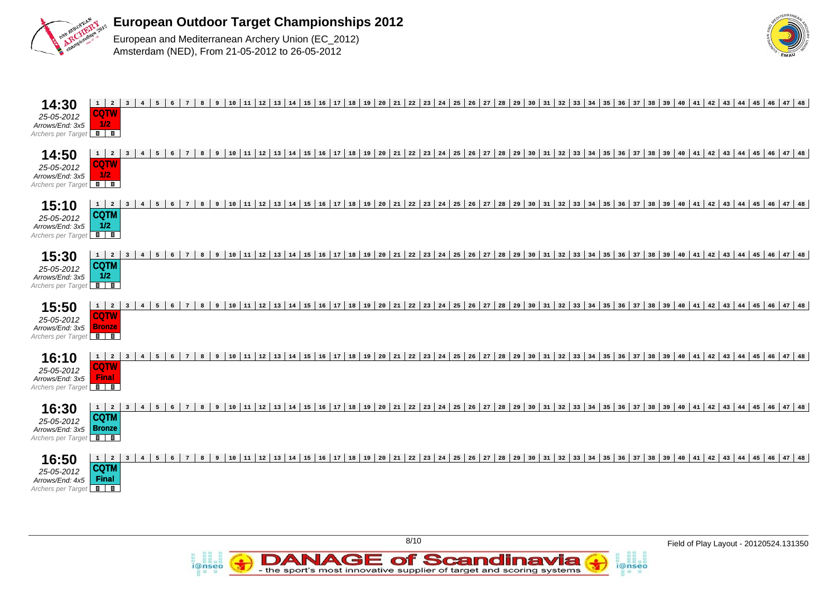

Archers per Target

European and Mediterranean Archery Union (EC\_2012) Amsterdam (NED), From 21-05-2012 to 26-05-2012

*i*@nseo



| $1 \mid 2 \mid$<br>14:30<br>10 11 2 13 14 15 16 17 18 19 20 21 22 23 24 25 26 27 28 29 30 31 32 33 34 35 36 37 38 39 40 41 42 43 44 45 46 47 48<br>3 <sup>1</sup><br>$6^{\circ}$<br>9<br>4<br>5<br>$7\overline{ }$<br>8<br><b>CQTW</b><br>25-05-2012<br>1/2<br>Arrows/End: 3x5<br>Archers per Target                                                                                                                                                                                                                                                                                                       |
|------------------------------------------------------------------------------------------------------------------------------------------------------------------------------------------------------------------------------------------------------------------------------------------------------------------------------------------------------------------------------------------------------------------------------------------------------------------------------------------------------------------------------------------------------------------------------------------------------------|
| 17   18   19   20   21   22   23   24  <br>  25   26   27   28   29   30  <br>  31   32   33   34   35   36   37   38   39   40   41   42   43   44   45   46   47   48<br>14:50<br>  12   13   14   15   16<br>$\overline{2}$<br>10<br>11<br>1<br>5<br>6<br>$7\overline{ }$<br>8<br>9<br>$\overline{\mathbf{3}}$<br><b>CQTW</b><br>25-05-2012<br>1/2<br>Arrows/End: 3x5<br>Archers per Target                                                                                                                                                                                                             |
| 15:10<br>$17$ 18<br>$28 \mid 29 \mid 30$<br>  31   32   33   34   35   36  <br>37 38 39<br>$40 \mid 41 \mid 42 \mid$<br>$43 \mid 44 \mid 45 \mid 46 \mid 47 \mid 48$<br>10<br>11<br>$\begin{array}{c} 12 \end{array}$<br>13<br>$14$ 15<br>16<br><b>19</b><br>$20 \mid 21$<br>$22 \mid 23 \mid 24$<br>25<br>$26 \mid 27$<br>1<br>$\overline{2}$<br>5 <sup>5</sup><br>6<br>$7\overline{ }$<br>8<br>$\overline{9}$<br>$\overline{\mathbf{3}}$<br><b>CQTM</b><br>25-05-2012<br>1/2<br>Arrows/End: 3x5<br>Archers per Target                                                                                    |
| 15:30<br>$\begin{array}{c} 12 \end{array}$<br>$17$ 18<br>  19   20   21   22   23   24<br>25 26 27 28 29 30<br>  31   32   33   34   35   36   37   38   39   40   41   42  <br>43 44 45 46 47 48<br>11<br>13<br>$14 \mid 15$<br>$ 16\rangle$<br>5<br>6<br>$7\overline{ }$<br>10<br>$\mathbf{1}$<br>$\overline{2}$<br>$\mathbf{R}$<br>$\overline{9}$<br>$\overline{\mathbf{3}}$<br><b>CQTM</b><br>25-05-2012<br>1/2<br>Arrows/End: 3x5<br>Archers per Target                                                                                                                                               |
| 15:50<br>$11 \mid 12$<br>$14 \mid 15 \mid 16$<br> 17 18 19 20 21 <br>  22   23   24  <br>  31   32   33   34   35   36  <br>  37   38   39   40   41   42  <br>10<br>13<br>25<br>$26$ 27 28 29 30<br>43 44 45 46 47 48<br>1<br>$\overline{\mathbf{2}}$<br>5 <sup>5</sup><br>6<br>$7\overline{ }$<br>8<br>9<br>$\overline{\mathbf{3}}$<br>$\overline{4}$<br><b>CQTW</b><br>25-05-2012<br><b>Bronze</b><br>Arrows/End: 3x5<br>Archers per Target                                                                                                                                                             |
| 16:10<br> 42 <br>$43 \mid 44 \mid 45 \mid 46 \mid 47 \mid 48$<br>12<br>13<br>$14 \mid 15$<br>16<br>17<br>  18<br>$19 \mid 20 \mid 21$<br>22<br>$23 \mid 24$<br>25<br>$26 \mid 27$<br>28<br>29<br>30<br>$31 \mid 32 \mid 33$<br>$34$ 35 36<br>$37$ 38 39<br> 40 41<br>$1 \vert$<br>$\overline{\mathbf{2}}$<br>5 <sup>5</sup><br>10<br>11<br>$\overline{\mathbf{3}}$<br>6<br>$7\phantom{1}$<br>$\mathbf{R}$<br>$\overline{9}$<br><b>CQTW</b><br>25-05-2012<br><b>Final</b><br>Arrows/End: 3x5<br>Archers per Target                                                                                          |
| 16:30<br>17 18 <br>$22 \mid 23 \mid 24$<br>$\overline{2}$<br>$11 \mid 12$<br>13<br>$14 \mid 15$<br>16<br><b>19</b><br>$20 \mid 21 \mid$<br>25<br>$26 \mid 27$<br>$28 \mid 29 \mid 30$<br>31<br>$32 \mid 33$<br>$34 \mid 35 \mid 36$<br>37<br>$38$ 39<br>$40 \mid 41 \mid 42 \mid$<br>$43 \mid 44 \mid 45 \mid$<br>$46 \mid 47 \mid 48$<br>$1 \vert$<br>$\overline{\mathbf{3}}$<br>5 <sup>5</sup><br>$6\overline{6}$<br>$7\overline{ }$<br>$\overline{9}$<br>10<br>$4\overline{ }$<br>$\mathbf{R}$<br><b>CQTM</b><br>25-05-2012<br><b>Bronze</b><br>Arrows/End: 3x5<br>$\blacksquare$<br>Archers per Target |
| 16:50<br>  12<br>13<br>$14 \mid 15$<br>16<br>17 18<br>  19   20   21   22   23   24<br>$25 \mid 26 \mid 27$<br> 28 29 30<br>$31 \mid 32 \mid 33 \mid 34 \mid 35 \mid 36 \mid$<br>37   38   39   40   41   42   43   44   45   46   47   48<br>1<br>$\overline{\mathbf{2}}$<br>5 <sup>5</sup><br>10<br>11<br>$\overline{\mathbf{3}}$<br>$4\overline{ }$<br>6<br>$7\phantom{1}$<br>$\overline{9}$<br><b>CQTM</b><br>25-05-2012<br><b>Final</b><br>Arrows/End: 4x5                                                                                                                                            |

**DANAGE of Scandinavia**<br>- the sport's most innovative supplier of target and scoring systems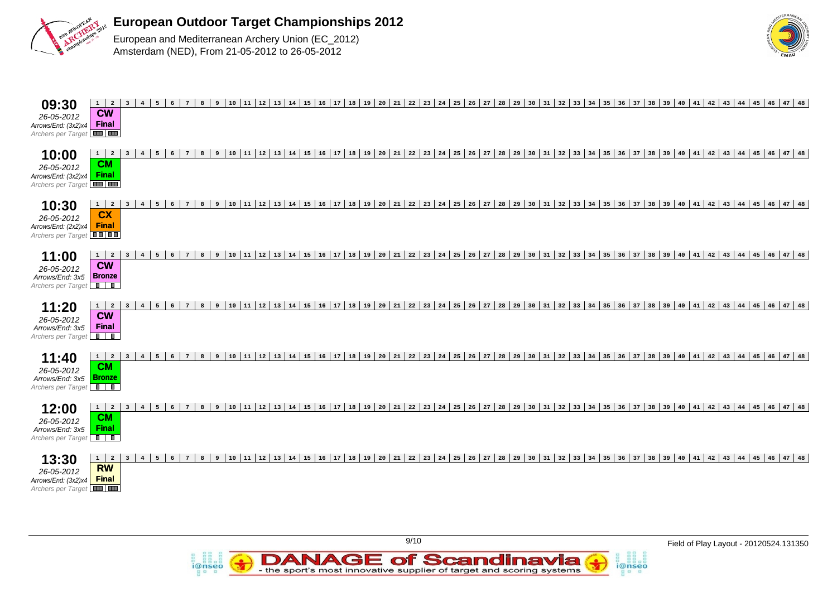

i@nseo



| $1 \mid 2 \mid$<br>$10$ $11$ $12$ $13$ $14$ $15$ $16$ $17$ $18$ $19$<br> 20 21 22 23 24 25 <br>  26   27   28   29   30   31   32   33   34   35   36   37   38   39   40   41   42  <br>8<br>43 44 45 46 47 48<br>3 <sup>1</sup><br>5 <sup>7</sup><br>$\overline{7}$<br>9<br>09:30<br>$\overline{4}$<br>$\epsilon$<br><b>CW</b><br>26-05-2012<br>Final<br>Arrows/End: (3x2)x4<br><b>THE LEAD</b><br>Archers per Target                                                  |
|--------------------------------------------------------------------------------------------------------------------------------------------------------------------------------------------------------------------------------------------------------------------------------------------------------------------------------------------------------------------------------------------------------------------------------------------------------------------------|
| 13   14   15   16   17   18   19  <br>20 21 22 23 24 25 26 27 28 29 30 31 32 33 34 35 36 37 38 39 40 41 42 43 44 45 46 47 48<br>12<br>10:00<br>$\mathbf{1}$<br>$\overline{a}$<br>$5\overline{5}$<br>$7\overline{ }$<br>8<br>10<br> 11<br>$6\overline{6}$<br>9<br>$\overline{\mathbf{3}}$<br>$\overline{4}$<br><b>CM</b><br>26-05-2012<br>Final<br>Arrows/End: (3x2)x4<br>Archers per Target                                                                              |
| 12 13 14 15 16 17 18 19 20 21 22 23 24 25 26 27 28 29 30 31 32 33 34 35 36 37 38 39 40 41 42 43 44 45 46 47 48<br>10:30<br>$\overline{2}$<br>5 <sup>1</sup><br>$1 \mid$<br>6<br>$7\overline{ }$<br>8<br>$\overline{9}$<br>10   11  <br>$\overline{3}$<br>$\overline{4}$<br><b>CX</b><br>26-05-2012<br><b>Final</b><br>Arrows/End: (2x2)x4<br>Archers per Target <b>OD</b>                                                                                                |
| 12 13 14 15 16 17 18 19 20 21 22 23 24 25 26 27 28 29 30 31 32 33 34 35 36 37 38 39 40 41 42 43 44 45 46 47 48<br>11:00<br>$\overline{a}$<br>5 <sup>7</sup><br>$7\overline{ }$<br>8<br>$10 \mid 11$<br>$1 \mid$<br>$\overline{\mathbf{3}}$<br>$6\overline{6}$<br>$\overline{9}$<br>$\overline{4}$<br>$\overline{\text{cm}}$<br>26-05-2012<br><b>Bronze</b><br>Arrows/End: 3x5<br>Archers per Target                                                                      |
| 12 13 14 15 16 17 18 19 20 21 22 23 24 25 26 27 28 29 30 31 32 33 34 35 36 37 38 39 40 41 42 43 44 45 46 47 48<br>11:20<br>$1 \mid 2$<br>10<br> 11 <br>5<br>$7\overline{ }$<br>8<br>$\overline{9}$<br>$\overline{\mathbf{3}}$<br>$\overline{4}$<br>6<br><b>CW</b><br>26-05-2012<br><b>Final</b><br>Arrows/End: 3x5<br>$\overline{\phantom{a}}$<br>Archers per Target                                                                                                     |
| 12<br>  13   14   15   16   17   18   19   20   21   22   23   24   25   26   27   28   29   30   31   32   33   34   35<br>  36   37   38   39   40   41   42   43   44   45   46   47   48<br>8<br>10<br>$\begin{array}{c} 11 \end{array}$<br>11:40<br>$\mathbf{1}$<br>$\overline{a}$<br>5<br>$7\overline{ }$<br>$\overline{9}$<br>$\overline{\mathbf{3}}$<br>6<br>$\overline{4}$<br><b>CM</b><br>26-05-2012<br><b>Bronze</b><br>Arrows/End: 3x5<br>Archers per Target |
| 18 19<br>12:00<br>$1 \mid 2$<br>10<br>12<br>13<br>14<br>$15 \mid 16 \mid 17$<br>$20 \mid 21 \mid 22$<br>$23 \mid 24$<br>25<br>$26$ $27$ $28$ $29$<br>30<br>  31  <br>32<br>$33 \mid 34 \mid 35$<br>$36 \mid 37 \mid$<br>$38 \mid 39 \mid 40$<br>$41 \mid 42 \mid$<br>43 44 45 46 47 48<br>5<br>7<br>8<br>9<br>  11<br>$\overline{\mathbf{3}}$<br>$\overline{4}$<br><b>CM</b><br>26-05-2012<br>Final<br>Arrows/End: 3x5<br>$\overline{\mathbb{R}}$<br>Archers per Target  |
| 12 13 14 15 16 17 18 19 20 21 22 23 24 25 26 27 28 29 30 31 32 33 34 35 36 37 38 39 40 41 42 43 44 45 46 47 48<br>13:30<br>$1 \vert$<br>$\overline{a}$<br>5<br>10<br>$\begin{array}{c} 11 \end{array}$<br>$\overline{\mathbf{3}}$<br>$\overline{4}$<br>$6\overline{6}$<br>7<br>8<br>9<br>RW<br>26-05-2012<br><b>Final</b><br>Arrows/End: (3x2)x4<br>Archers per Target                                                                                                   |

**DANAGE of Scandinavia**<br>- the sport's most innovative supplier of target and scoring systems